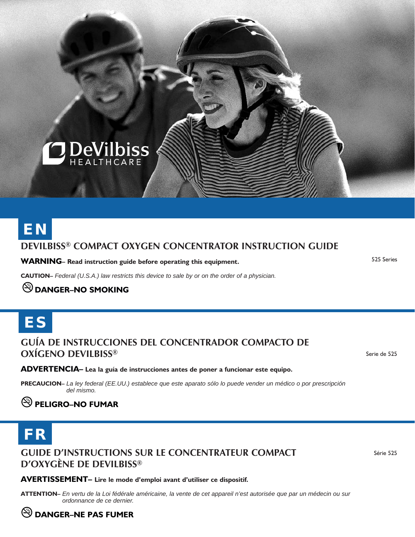

# **DeVilbiss® ComPACT Oxygen Concentrator Instruction guide EN**

**WARNING– Read instruction guide before operating this equipment.** 

525 Series

**CAUTION–** *Federal (U.S.A.) law restricts this device to sale by or on the order of a physician.*

## **DANGER–NO SMOKING**

# ES

#### **Guía de Instrucciones del Concentrador Compacto de Oxígeno DeVilbiss®**

ADVERTENCIA- Lea la guía de instrucciones antes de poner a funcionar este equipo.

**PRECAUCION–** *La ley federal (EE.UU.) establece que este aparato sólo lo puede vender un médico o por prescripción del mismo.*

## **PELIGRO–NO FUMAR**

# FR

**Guide d'Instructions sur le Concentrateur compact d'oxygène de DeVilbiss®**

Serie de 525

Série 525

#### AVERTISSEMENT- Lire le mode d'emploi avant d'utiliser ce dispositif.

**Attention–** *En vertu de la Loi fédérale américaine, la vente de cet appareil n'est autorisée que par un médecin ou sur ordonnance de ce dernier.*

## **DANGER–NE PAS FUMER**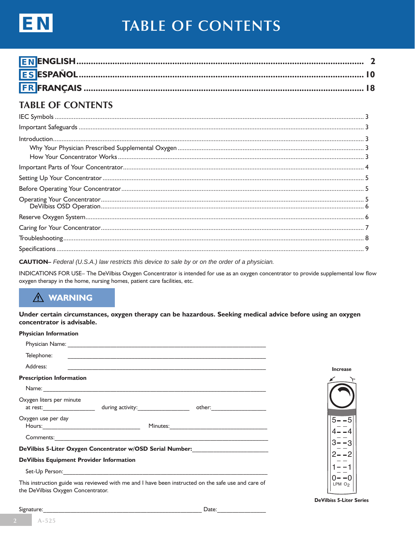

# **TABLE OF CONTENTS**

## **TABLE OF CONTENTS**

| $\label{prop:main} \textbf{Troubleshoothing} \textcolor{red}{\textbf{}} \textcolor{red}{\textbf{}} \textcolor{red}{\textbf{}} \textcolor{red}{\textbf{}} \textcolor{red}{\textbf{}} \textcolor{red}{\textbf{}} \textcolor{red}{\textbf{}} \textcolor{red}{\textbf{}} \textcolor{red}{\textbf{}} \textcolor{red}{\textbf{}} \textcolor{red}{\textbf{}} \textcolor{red}{\textbf{}} \textcolor{red}{\textbf{}} \textcolor{red}{\textbf{}} \textcolor{red}{\textbf{}} \textcolor{red}{\textbf{}} \textcolor{red}{\textbf{$ |  |
|------------------------------------------------------------------------------------------------------------------------------------------------------------------------------------------------------------------------------------------------------------------------------------------------------------------------------------------------------------------------------------------------------------------------------------------------------------------------------------------------------------------------|--|
|                                                                                                                                                                                                                                                                                                                                                                                                                                                                                                                        |  |

**CAUTION-** Federal (U.S.A.) law restricts this device to sale by or on the order of a physician.

INDICATIONS FOR USE- The DeVilbiss Oxygen Concentrator is intended for use as an oxygen concentrator to provide supplemental low flow oxygen therapy in the home, nursing homes, patient care facilities, etc.

## **A WARNING**

Under certain circumstances, oxygen therapy can be hazardous. Seeking medical advice before using an oxygen concentrator is advisable.

#### **Physician Information**

| Telephone:                                      |                                                                                  |                                                                                                    |                    |
|-------------------------------------------------|----------------------------------------------------------------------------------|----------------------------------------------------------------------------------------------------|--------------------|
| Address:                                        |                                                                                  |                                                                                                    | <b>Increase</b>    |
| <b>Prescription Information</b>                 |                                                                                  |                                                                                                    |                    |
|                                                 |                                                                                  |                                                                                                    |                    |
| Oxygen liters per minute                        |                                                                                  |                                                                                                    |                    |
| Oxygen use per day                              |                                                                                  |                                                                                                    | $5 - -5$           |
|                                                 |                                                                                  |                                                                                                    |                    |
|                                                 | DeVilbiss 5-Liter Oxygen Concentrator w/OSD Serial Number: _____________________ |                                                                                                    |                    |
| <b>DeVilbiss Equipment Provider Information</b> |                                                                                  |                                                                                                    |                    |
|                                                 |                                                                                  |                                                                                                    |                    |
| the DeVilbiss Oxygen Concentrator.              |                                                                                  | This instruction guide was reviewed with me and I have been instructed on the safe use and care of | LPM O <sub>2</sub> |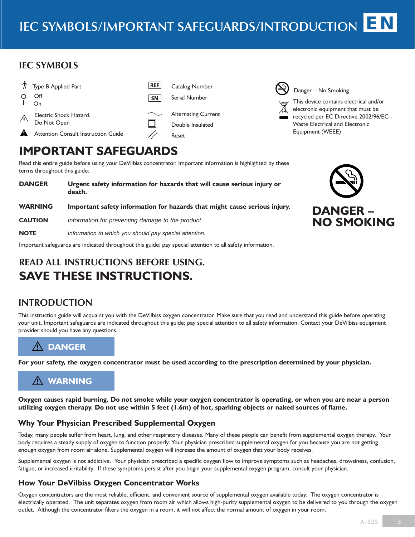#### **IEC Symbols**





Danger – No Smoking

This device contains electrical and/or electronic equipment that must be recycled per EC Directive 2002/96/EC - Waste Electrical and Electronic Equipment (WEEE)

## **Important Safeguards**

Read this entire guide before using your DeVilbiss concentrator. Important information is highlighted by these terms throughout this guide:

| <b>DANGER</b>  | Urgent safety information for hazards that will cause serious injury or<br>death. |
|----------------|-----------------------------------------------------------------------------------|
| <b>WARNING</b> | Important safety information for hazards that might cause serious injury.         |
| <b>CAUTION</b> | Information for preventing damage to the product.                                 |
| <b>NOTE</b>    | Information to which you should pay special attention.                            |

Important safeguards are indicated throughout this guide; pay special attention to all safety information.

## **Read All instructions before Using. Save These Instructions.**

## **Introduction**

This instruction guide will acquaint you with the DeVilbiss oxygen concentrator. Make sure that you read and understand this guide before operating your unit. Important safeguards are indicated throughout this guide; pay special attention to all safety information. Contact your DeVilbiss equipment provider should you have any questions.

## **DANGER**

**For your safety, the oxygen concentrator must be used according to the prescription determined by your physician.**

## **WARNING**

**Oxygen causes rapid burning. Do not smoke while your oxygen concentrator is operating, or when you are near a person utilizing oxygen therapy. Do not use within 5 feet (1.6m) of hot, sparking objects or naked sources of flame.**

#### **Why Your Physician Prescribed Supplemental Oxygen**

Today, many people suffer from heart, lung, and other respiratory diseases. Many of these people can benefit from supplemental oxygen therapy. Your body requires a steady supply of oxygen to function properly. Your physician prescribed supplemental oxygen for you because you are not getting enough oxygen from room air alone. Supplemental oxygen will increase the amount of oxygen that your body receives.

Supplemental oxygen is not addictive. Your physician prescribed a specific oxygen flow to improve symptoms such as headaches, drowsiness, confusion, fatigue, or increased irritability. If these symptoms persist after you begin your supplemental oxygen program, consult your physician.

#### **How Your DeVilbiss Oxygen Concentrator Works**

Oxygen concentrators are the most reliable, efficient, and convenient source of supplemental oxygen available today. The oxygen concentrator is electrically operated. The unit separates oxygen from room air which allows high-purity supplemental oxygen to be delivered to you through the oxygen outlet. Although the concentrator filters the oxygen in a room, it will not affect the normal amount of oxygen in your room.

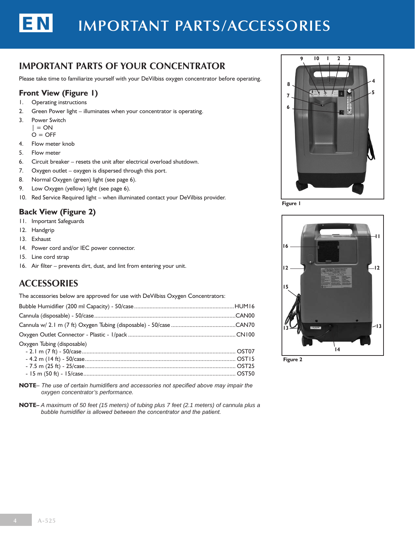# **important parts/accessories**

## **Important Parts of Your Concentrator**

Please take time to familiarize yourself with your DeVilbiss oxygen concentrator before operating.

#### **Front View (Figure 1)**

- 1. Operating instructions
- 2. Green Power light illuminates when your concentrator is operating.
- 3. Power Switch  $| = ON$

EN

- $O = OFF$
- 4. Flow meter knob
- 5. Flow meter
- 6. Circuit breaker resets the unit after electrical overload shutdown.
- 7. Oxygen outlet oxygen is dispersed through this port.
- 8. Normal Oxygen (green) light (see page 6).
- 9. Low Oxygen (yellow) light (see page 6).
- 10. Red Service Required light when illuminated contact your DeVilbiss provider.

#### **Back View (Figure 2)**

- 11. Important Safeguards
- 12. Handgrip
- 13. Exhaust
- 14. Power cord and/or IEC power connector.
- 15. Line cord strap
- 16. Air filter prevents dirt, dust, and lint from entering your unit.

#### **Accessories**

The accessories below are approved for use with DeVilbiss Oxygen Concentrators:

**Note***– The use of certain humidifiers and accessories not specified above may impair the oxygen concentrator's performance.*

**Note–** *A maximum of 50 feet (15 meters) of tubing plus 7 feet (2.1 meters) of cannula plus a bubble humidifier is allowed between the concentrator and the patient.*



**Figure 1**



**Figure 2**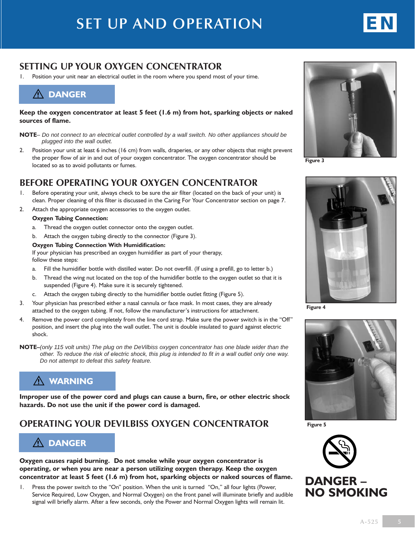# **Set up and operation**



## **SETTING UP YOUR OXYGEN CONCENTRATOR**

Position your unit near an electrical outlet in the room where you spend most of your time.

## **DANGER**

**Keep the oxygen concentrator at least 5 feet (1.6 m) from hot, sparking objects or naked sources of flame.**

**NOTE***– Do not connect to an electrical outlet controlled by a wall switch. No other appliances should be plugged into the wall outlet.*

2. Position your unit at least 6 inches (16 cm) from walls, draperies, or any other objects that might prevent the proper flow of air in and out of your oxygen concentrator. The oxygen concentrator should be located so as to avoid pollutants or fumes.

#### **Before Operating Your Oxygen Concentrator**

- 1. Before operating your unit, always check to be sure the air filter (located on the back of your unit) is clean. Proper cleaning of this filter is discussed in the Caring For Your Concentrator section on page 7.
- 2. Attach the appropriate oxygen accessories to the oxygen outlet.

#### **Oxygen Tubing Connection:**

- a. Thread the oxygen outlet connector onto the oxygen outlet.
- b. Attach the oxygen tubing directly to the connector (Figure 3).

#### **Oxygen Tubing Connection With Humidification:**

 If your physician has prescribed an oxygen humidifier as part of your therapy, follow these steps:

- a. Fill the humidifier bottle with distilled water. Do not overfill. (If using a prefill, go to letter b.)
- b. Thread the wing nut located on the top of the humidifier bottle to the oxygen outlet so that it is suspended (Figure 4). Make sure it is securely tightened.
- c. Attach the oxygen tubing directly to the humidifier bottle outlet fitting (Figure 5).
- 3. Your physician has prescribed either a nasal cannula or face mask. In most cases, they are already attached to the oxygen tubing. If not, follow the manufacturer's instructions for attachment.
- 4. Remove the power cord completely from the line cord strap. Make sure the power switch is in the "Off" position, and insert the plug into the wall outlet. The unit is double insulated to guard against electric shock.
- **NOTE–***(only 115 volt units) The plug on the DeVilbiss oxygen concentrator has one blade wider than the other. To reduce the risk of electric shock, this plug is intended to fit in a wall outlet only one way. Do not attempt to defeat this safety feature.*

## **WARNING**

**Improper use of the power cord and plugs can cause a burn, fire, or other electric shock hazards. Do not use the unit if the power cord is damaged.**

## **Operating Your DeVilbiss Oxygen Concentrator**

## **DANGER**

**Oxygen causes rapid burning. Do not smoke while your oxygen concentrator is operating, or when you are near a person utilizing oxygen therapy. Keep the oxygen concentrator at least 5 feet (1.6 m) from hot, sparking objects or naked sources of flame.**

1. Press the power switch to the "On" position. When the unit is turned "On," all four lights (Power, Service Required, Low Oxygen, and Normal Oxygen) on the front panel will illuminate briefly and audible signal will briefly alarm. After a few seconds, only the Power and Normal Oxygen lights will remain lit.



**Figure 3**



**Figure 4**



**Figure 5**

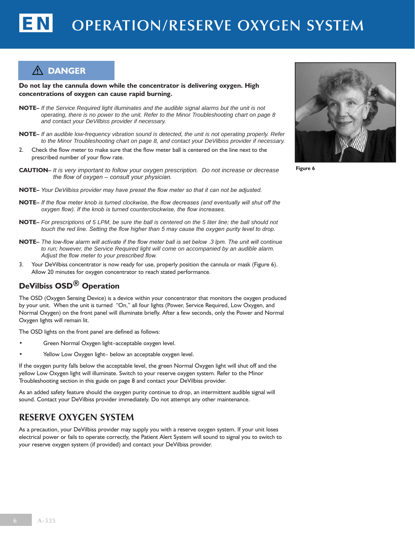#### **DANGER**

**Do not lay the cannula down while the concentrator is delivering oxygen. High concentrations of oxygen can cause rapid burning.**

- **NOTE–** *If the Service Required light illuminates and the audible signal alarms but the unit is not operating, there is no power to the unit. Refer to the Minor Troubleshooting chart on page 8 and contact your DeVilbiss provider if necessary.*
- **NOTE–** *If an audible low-frequency vibration sound is detected, the unit is not operating properly. Refer to the Minor Troubleshooting chart on page 8, and contact your DeVilbiss provider if necessary.*
- 2. Check the flow meter to make sure that the flow meter ball is centered on the line next to the prescribed number of your flow rate.
- **CAUTION–** *It is very important to follow your oxygen prescription. Do not increase or decrease the flow of oxygen – consult your physician.*
- **NOTE–** *Your DeVilbiss provider may have preset the flow meter so that it can not be adjusted.*
- **NOTE–** *If the flow meter knob is turned clockwise, the flow decreases (and eventually will shut off the oxygen flow). If the knob is turned counterclockwise, the flow increases.*
- **NOTE–** *For prescriptions of 5 LPM, be sure the ball is centered on the 5 liter line; the ball should not touch the red line. Setting the flow higher than 5 may cause the oxygen purity level to drop.*
- **NOTE–** *The low-flow alarm will activate if the flow meter ball is set below .3 lpm. The unit will continue*  to run; however, the Service Required light will come on accompanied by an audible alarm. *Adjust the flow meter to your prescribed flow.*
- 3. Your DeVilbiss concentrator is now ready for use, properly position the cannula or mask (Figure 6). Allow 20 minutes for oxygen concentrator to reach stated performance.

#### **DeVilbiss OSD® Operation**

The OSD (Oxygen Sensing Device) is a device within your concentrator that monitors the oxygen produced by your unit. When the unit is turned "On," all four lights (Power, Service Required, Low Oxygen, and Normal Oxygen) on the front panel will illuminate briefly. After a few seconds, only the Power and Normal Oxygen lights will remain lit.

The OSD lights on the front panel are defined as follows:

- Green Normal Oxygen light-acceptable oxygen level.
- Yellow Low Oxygen light- below an acceptable oxygen level.

If the oxygen purity falls below the acceptable level, the green Normal Oxygen light will shut off and the yellow Low Oxygen light will illuminate. Switch to your reserve oxygen system. Refer to the Minor Troubleshooting section in this guide on page 8 and contact your DeVilbiss provider.

As an added safety feature should the oxygen purity continue to drop, an intermittent audible signal will sound. Contact your DeVilbiss provider immediately. Do not attempt any other maintenance.

#### **Reserve Oxygen System**

As a precaution, your DeVilbiss provider may supply you with a reserve oxygen system. If your unit loses electrical power or fails to operate correctly, the Patient Alert System will sound to signal you to switch to your reserve oxygen system (if provided) and contact your DeVilbiss provider.



**Figure 6**

**6 A-525**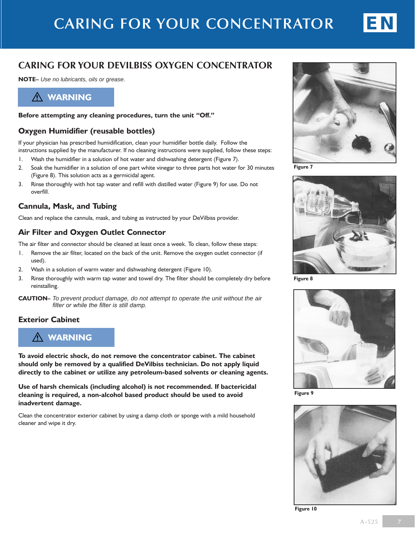

#### **Caring For Your DeVilbiss Oxygen Concentrator**

**Note–** *Use no lubricants, oils or grease.*



#### **Before attempting any cleaning procedures, turn the unit "Off."**

#### **Oxygen Humidifier (reusable bottles)**

If your physician has prescribed humidification, clean your humidifier bottle daily. Follow the instructions supplied by the manufacturer. If no cleaning instructions were supplied, follow these steps:

- 1. Wash the humidifier in a solution of hot water and dishwashing detergent (Figure 7).
- 2. Soak the humidifier in a solution of one part white vinegar to three parts hot water for 30 minutes (Figure 8). This solution acts as a germicidal agent.
- 3. Rinse thoroughly with hot tap water and refill with distilled water (Figure 9) for use. Do not overfill.

#### **Cannula, Mask, and Tubing**

Clean and replace the cannula, mask, and tubing as instructed by your DeVilbiss provider.

#### **Air Filter and Oxygen Outlet Connector**

The air filter and connector should be cleaned at least once a week. To clean, follow these steps:

- 1. Remove the air filter, located on the back of the unit. Remove the oxygen outlet connector (if used).
- 2. Wash in a solution of warm water and dishwashing detergent (Figure 10).
- 3. Rinse thoroughly with warm tap water and towel dry. The filter should be completely dry before reinstalling.
- **CAUTION–** *To prevent product damage, do not attempt to operate the unit without the air filter or while the filter is still damp.*

#### **Exterior Cabinet**

#### **WARNING**

**To avoid electric shock, do not remove the concentrator cabinet. The cabinet should only be removed by a qualified DeVilbiss technician. Do not apply liquid directly to the cabinet or utilize any petroleum-based solvents or cleaning agents.**

**Use of harsh chemicals (including alcohol) is not recommended. If bactericidal cleaning is required, a non-alcohol based product should be used to avoid inadvertent damage.**

Clean the concentrator exterior cabinet by using a damp cloth or sponge with a mild household cleaner and wipe it dry.



**Figure 7**



**Figure 8**



**Figure 9**



**Figure 10**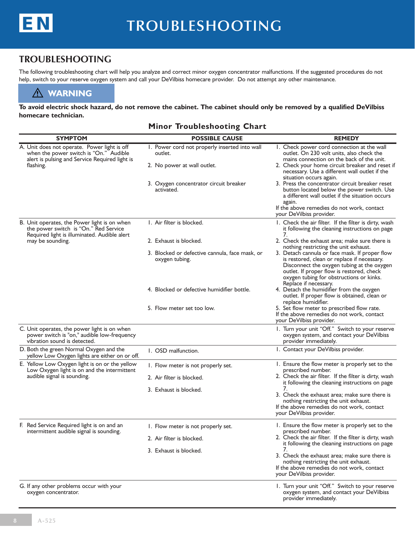

#### **Troubleshooting**

The following troubleshooting chart will help you analyze and correct minor oxygen concentrator malfunctions. If the suggested procedures do not help, switch to your reserve oxygen system and call your DeVilbiss homecare provider. Do not attempt any other maintenance.

#### **WARNING**

**To avoid electric shock hazard, do not remove the cabinet. The cabinet should only be removed by a qualified DeVilbiss homecare technician.**

#### **Minor Troubleshooting Chart**

| <b>SYMPTOM</b>                                                                                                                                        | <b>POSSIBLE CAUSE</b>                                            | <b>REMEDY</b>                                                                                                                                                                                                                                                 |
|-------------------------------------------------------------------------------------------------------------------------------------------------------|------------------------------------------------------------------|---------------------------------------------------------------------------------------------------------------------------------------------------------------------------------------------------------------------------------------------------------------|
| A. Unit does not operate. Power light is off<br>when the power switch is "On." Audible<br>alert is pulsing and Service Required light is<br>flashing. | 1. Power cord not properly inserted into wall<br>outlet.         | 1. Check power cord connection at the wall<br>outlet. On 230 volt units, also check the<br>mains connection on the back of the unit.                                                                                                                          |
|                                                                                                                                                       | 2. No power at wall outlet.                                      | 2. Check your home circuit breaker and reset if<br>necessary. Use a different wall outlet if the<br>situation occurs again.                                                                                                                                   |
|                                                                                                                                                       | 3. Oxygen concentrator circuit breaker<br>activated.             | 3. Press the concentrator circuit breaker reset<br>button located below the power switch. Use<br>a different wall outlet if the situation occurs<br>again.<br>If the above remedies do not work, contact<br>your DeVilbiss provider.                          |
| B. Unit operates, the Power light is on when<br>the power switch is "On." Red Service                                                                 | 1. Air filter is blocked.                                        | I. Check the air filter. If the filter is dirty, wash<br>it following the cleaning instructions on page<br>7.                                                                                                                                                 |
| Required light is illuminated. Audible alert<br>may be sounding.                                                                                      | 2. Exhaust is blocked.                                           | 2. Check the exhaust area; make sure there is<br>nothing restricting the unit exhaust.                                                                                                                                                                        |
|                                                                                                                                                       | 3. Blocked or defective cannula, face mask, or<br>oxygen tubing. | 3. Detach cannula or face mask. If proper flow<br>is restored, clean or replace if necessary.<br>Disconnect the oxygen tubing at the oxygen<br>outlet. If proper flow is restored, check<br>oxygen tubing for obstructions or kinks.<br>Replace if necessary. |
|                                                                                                                                                       | 4. Blocked or defective humidifier bottle.                       | 4. Detach the humidifier from the oxygen<br>outlet. If proper flow is obtained, clean or<br>replace humidifier.                                                                                                                                               |
|                                                                                                                                                       | 5. Flow meter set too low.                                       | 5. Set flow meter to prescribed flow rate.<br>If the above remedies do not work, contact<br>your DeVilbiss provider.                                                                                                                                          |
| C. Unit operates, the power light is on when<br>power switch is "on," audible low-frequency<br>vibration sound is detected.                           |                                                                  | I. Turn your unit "Off." Switch to your reserve<br>oxygen system, and contact your DeVilbiss<br>provider immediately.                                                                                                                                         |
| D. Both the green Normal Oxygen and the<br>yellow Low Oxygen lights are either on or off.                                                             | 1. OSD malfunction.                                              | 1. Contact your DeVilbiss provider.                                                                                                                                                                                                                           |
| E. Yellow Low Oxygen light is on or the yellow<br>Low Oxygen light is on and the intermittent                                                         | 1. Flow meter is not properly set.                               | I. Ensure the flow meter is properly set to the<br>prescribed number.                                                                                                                                                                                         |
| audible signal is sounding.                                                                                                                           | 2. Air filter is blocked.                                        | 2. Check the air filter. If the filter is dirty, wash<br>it following the cleaning instructions on page                                                                                                                                                       |
|                                                                                                                                                       | 3. Exhaust is blocked.                                           | 7.<br>3. Check the exhaust area; make sure there is<br>nothing restricting the unit exhaust.<br>If the above remedies do not work, contact<br>your DeVilbiss provider.                                                                                        |
| F. Red Service Required light is on and an<br>intermittent audible signal is sounding.                                                                | 1. Flow meter is not properly set.                               | 1. Ensure the flow meter is properly set to the<br>prescribed number.                                                                                                                                                                                         |
|                                                                                                                                                       | 2. Air filter is blocked.                                        | 2. Check the air filter. If the filter is dirty, wash<br>it following the cleaning instructions on page                                                                                                                                                       |
|                                                                                                                                                       | 3. Exhaust is blocked.                                           | 3. Check the exhaust area; make sure there is<br>nothing restricting the unit exhaust.<br>If the above remedies do not work, contact<br>your DeVilbiss provider.                                                                                              |
| G. If any other problems occur with your<br>oxygen concentrator.                                                                                      |                                                                  | 1. Turn your unit "Off." Switch to your reserve<br>oxygen system, and contact your DeVilbiss<br>provider immediately.                                                                                                                                         |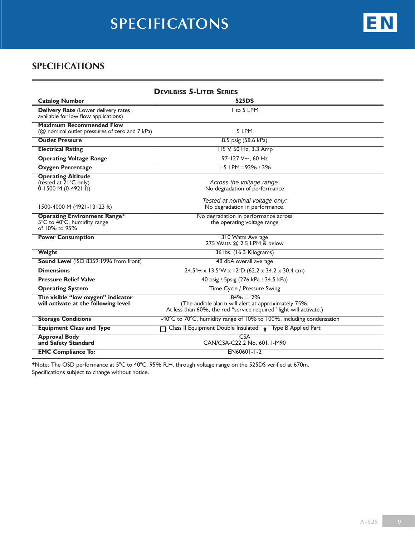# **specificatons**

#### **Specifications**

| <b>DEVILBISS 5-LITER SERIES</b>                                                      |                                                                                                                                           |  |  |
|--------------------------------------------------------------------------------------|-------------------------------------------------------------------------------------------------------------------------------------------|--|--|
| <b>Catalog Number</b>                                                                | <b>525DS</b>                                                                                                                              |  |  |
| Delivery Rate (Lower delivery rates<br>available for low flow applications)          | I to 5 LPM                                                                                                                                |  |  |
| <b>Maximum Recommended Flow</b><br>( $@$ nominal outlet pressures of zero and 7 kPa) | 5 LPM                                                                                                                                     |  |  |
| <b>Outlet Pressure</b>                                                               | 8.5 psig (58.6 kPa)                                                                                                                       |  |  |
| <b>Electrical Rating</b>                                                             | 115 V, 60 Hz, 3.3 Amp                                                                                                                     |  |  |
| <b>Operating Voltage Range</b>                                                       | 97-127 $V \sim$ , 60 Hz                                                                                                                   |  |  |
| <b>Oxygen Percentage</b>                                                             | $1-5$ LPM = 93% $\pm$ 3%                                                                                                                  |  |  |
| <b>Operating Altitude</b><br>(tested at 21°C only)<br>$0-1500$ M $(0-4921$ ft)       | Across the voltage range:<br>No degradation of performance                                                                                |  |  |
| 1500-4000 M (4921-13123 ft)                                                          | Tested at nominal voltage only:<br>No degradation in performance.                                                                         |  |  |
| <b>Operating Environment Range*</b><br>5°C to 40°C, humidity range<br>of 10% to 95%  | No degradation in performance across<br>the operating voltage range                                                                       |  |  |
| <b>Power Consumption</b>                                                             | 310 Watts Average<br>275 Watts @ 2.5 LPM & below                                                                                          |  |  |
| Weight                                                                               | 36 lbs. (16.3 Kilograms)                                                                                                                  |  |  |
| Sound Level (ISO 8359:1996 from front)                                               | 48 dbA overall average                                                                                                                    |  |  |
| <b>Dimensions</b>                                                                    | $24.5$ "H x 13.5"W x 12"D (62.2 x 34.2 x 30.4 cm)                                                                                         |  |  |
| <b>Pressure Relief Valve</b>                                                         | 40 psig $\pm$ 5 psig (276 kPa $\pm$ 34.5 kPa)                                                                                             |  |  |
| <b>Operating System</b>                                                              | Time Cycle / Pressure Swing                                                                                                               |  |  |
| The visible "low oxygen" indicator<br>will activate at the following level           | $84\% + 2\%$<br>(The audible alarm will alert at approximately 75%.<br>At less than 60%, the red "service required" light will activate.) |  |  |
| <b>Storage Conditions</b>                                                            | -40°C to 70°C, humidity range of 10% to 100%, including condensation                                                                      |  |  |
| <b>Equipment Class and Type</b>                                                      | Class II Equipment Double Insulated; $\uparrow$ Type B Applied Part                                                                       |  |  |
| <b>Approval Body</b><br>and Safety Standard                                          | CSA<br>CAN/CSA-C22.2 No. 601.1-M90                                                                                                        |  |  |
| <b>EMC Compliance To:</b>                                                            | EN60601-1-2                                                                                                                               |  |  |

\*Note: The OSD performance at 5°C to 40°C, 95% R.H. through voltage range on the 525DS verified at 670m. Specifications subject to change without notice.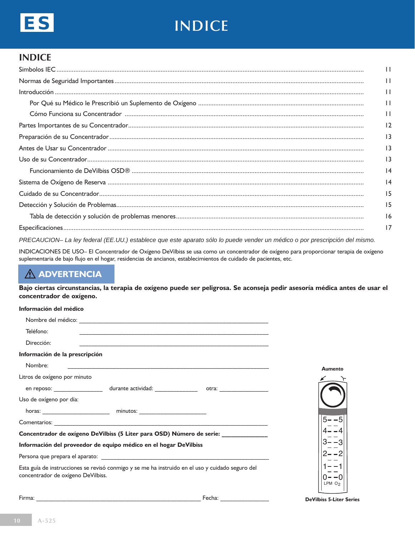

# **indice**

#### **Indice**

| $\mathbf{1}$    |
|-----------------|
| $\mathbf{1}$    |
| $\mathbf{1}$    |
| $\mathbf{1}$    |
| $\mathbf{1}$    |
| 12              |
| 13              |
| 13              |
| $\overline{13}$ |
| $\overline{14}$ |
| $\overline{14}$ |
| 15              |
| 15              |
| 16              |
| 17              |
|                 |

*PRECAUCION– La ley federal (EE.UU.) establece que este aparato sólo lo puede vender un médico o por prescripción del mismo.*

INDICACIONES DE USO– El Concentrador de Oxígeno DeVilbiss se usa como un concentrador de oxígeno para proporcionar terapia de oxígeno suplementaria de bajo flujo en el hogar, residencias de ancianos, establecimientos de cuidado de pacientes, etc.

## **ADVERTENCIA**

**Bajo ciertas circunstancias, la terapia de oxígeno puede ser peligrosa. Se aconseja pedir asesoría médica antes de usar el concentrador de oxígeno.**

#### **Información del médico**

| Teléfono:                          |                                                                                                  |                    |
|------------------------------------|--------------------------------------------------------------------------------------------------|--------------------|
| Dirección:                         |                                                                                                  |                    |
| Información de la prescripción     |                                                                                                  |                    |
| Nombre:                            |                                                                                                  | Aumento            |
| Litros de oxígeno por minuto       |                                                                                                  |                    |
|                                    |                                                                                                  |                    |
| Uso de oxígeno por día:            |                                                                                                  |                    |
|                                    |                                                                                                  |                    |
|                                    |                                                                                                  |                    |
|                                    | Concentrador de oxígeno DeVilbiss (5 Liter para OSD) Número de serie: ___________                |                    |
|                                    | Información del proveedor de equipo médico en el hogar DeVilbiss                                 |                    |
|                                    |                                                                                                  |                    |
| concentrador de oxígeno DeVilbiss. | Esta guía de instrucciones se revisó conmigo y se me ha instruido en el uso y cuidado seguro del | LPM O <sub>2</sub> |
|                                    |                                                                                                  |                    |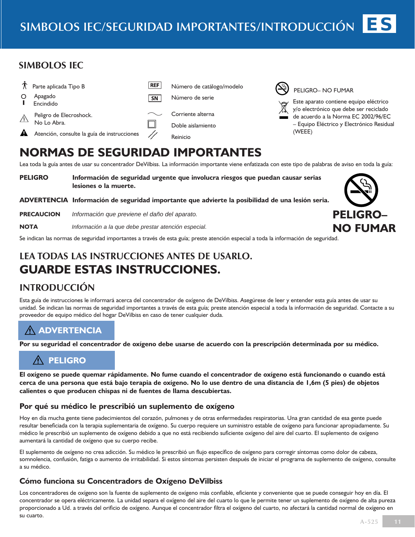#### **SIMBOLOS IEC**





PELIGRO– NO FUMAR

Este aparato contiene equipo eléctrico y/o electrónico que debe ser reciclado de acuerdo a la Norma EC 2002/96/EC – Equipo Eléctrico y Electrónico Residual (WEEE)

## **Normas de seguridad importantes**

Lea toda la guía antes de usar su concentrador DeVilbiss. La información importante viene enfatizada con este tipo de palabras de aviso en toda la guía:

**PELIGRO Información de seguridad urgente que involucra riesgos que puedan causar serias lesiones o la muerte.**

**ADVERTENCIA Información de seguridad importante que advierte la posibilidad de una lesión seria.** 

**PRECAUCION** *Información que previene el daño del aparato.*

**NOTA** *Información a la que debe prestar atención especial.*

Se indican las normas de seguridad importantes a través de esta guía; preste atención especial a toda la información de seguridad.

## **LEA TODAS LAS INSTRUCCIONES ANTES DE USARLO. GUARDE ESTAS INSTRUCCIONES.**

## **IntroducciÓn**

Esta guía de instrucciones le informará acerca del concentrador de oxígeno de DeVilbiss. Asegúrese de leer y entender esta guía antes de usar su unidad. Se indican las normas de seguridad importantes a través de esta guía; preste atención especial a toda la información de seguridad. Contacte a su proveedor de equipo médico del hogar DeVilbiss en caso de tener cualquier duda.

## **ADVERTENCIA**

**Por su seguridad el concentrador de oxígeno debe usarse de acuerdo con la prescripción determinada por su médico.**

## **PELIGRO**

**El oxígeno se puede quemar rápidamente. No fume cuando el concentrador de oxígeno está funcionando o cuando está cerca de una persona que está bajo terapia de oxígeno. No lo use dentro de una distancia de 1,6m (5 pies) de objetos calientes o que producen chispas ni de fuentes de llama descubiertas.**

#### **Por qué su médico le prescribió un suplemento de oxígeno**

Hoy en día mucha gente tiene padecimientos del corazón, pulmones y de otras enfermedades respiratorias. Una gran cantidad de esa gente puede resultar beneficiada con la terapia suplementaria de oxígeno. Su cuerpo requiere un suministro estable de oxígeno para funcionar apropiadamente. Su médico le prescribió un suplemento de oxígeno debido a que no está recibiendo suficiente oxígeno del aire del cuarto. El suplemento de oxígeno aumentará la cantidad de oxígeno que su cuerpo recibe.

El suplemento de oxígeno no crea adicción. Su médico le prescribió un flujo específico de oxígeno para corregir síntomas como dolor de cabeza, somnolencia, confusión, fatiga o aumento de irritabilidad. Si estos síntomas persisten después de iniciar el programa de suplemento de oxígeno, consulte a su médico.

#### **Cómo funciona su Concentradors de Oxígeno DeVilbiss**

Los concentradores de oxígeno son la fuente de suplemento de oxígeno más confiable, eficiente y conveniente que se puede conseguir hoy en día. El concentrador se opera eléctricamente. La unidad separa el oxígeno del aire del cuarto lo que le permite tener un suplemento de oxígeno de alta pureza proporcionado a Ud. a través del orificio de oxígeno. Aunque el concentrador filtra el oxígeno del cuarto, no afectará la cantidad normal de oxígeno en su cuarto.

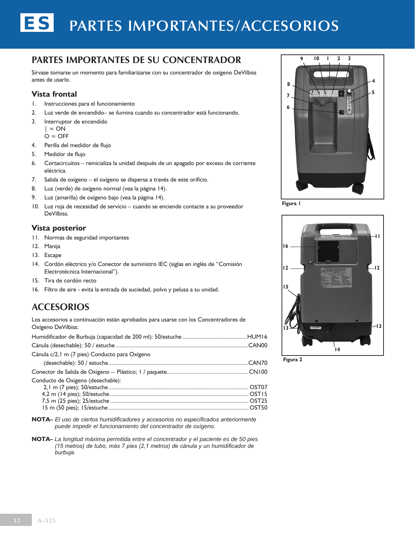# ES **partes importantes/accesorios**

#### **Partes importantes de su Concentrador**

Sírvase tomarse un momento para familiarizarse con su concentrador de oxígeno DeVilbiss antes de usarlo.

#### **Vista frontal**

- 1. Instrucciones para el funcionamiento
- 2. Luz verde de encendido– se ilumina cuando su concentrador está funcionando.
- 3. Interruptor de encendido

$$
\vert = \textsf{ON}
$$

 $O = OFF$ 

- 4. Perilla del medidor de flujo
- 5. Medidor de flujo
- 6. Cortacircuitos reinicializa la unidad después de un apagado por exceso de corriente eléctrica.
- 7. Salida de oxígeno el oxígeno se dispersa a través de este orificio.
- 8. Luz (verde) de oxígeno normal (vea la pàgina 14).
- 9. Luz (amarilla) de oxígeno bajo (vea la pàgina 14).
- 10. Luz roja de necesidad de servicio cuando se enciende contacte a su proveedor DeVilbiss.

#### **Vista posterior**

- 11. Normas de seguridad importantes
- 12. Manija
- 13. Escape
- 14. Cordón eléctrico y/o Conector de suministro IEC (siglas en inglés de "Comisión Electrotécnica Internacional").
- 15. Tira de cordón recto
- 16. Filtro de aire evita la entrada de suciedad, polvo y pelusa a su unidad.

## **Accesorios**

Los accesorios a continuación están aprobados para usarse con los Concentradores de Oxígeno DeVilbiss:

| Cánula c/2,1 m (7 pies) Conducto para Oxígeno |  |
|-----------------------------------------------|--|
|                                               |  |
|                                               |  |
| Conducto de Oxígeno (desechable):             |  |
|                                               |  |
|                                               |  |
|                                               |  |
|                                               |  |

- **Nota–** *El uso de ciertos humidificadores y accesorios no especificados anteriormente puede impedir el funcionamiento del concentrador de oxígeno.*
- **Nota–** *La longitud máxima permitida entre el concentrador y el paciente es de 50 pies (15 metros) de tubo, más 7 pies (2,1 metros) de cánula y un humidificador de burbuja.*



**Figura 1**



**Figura 2**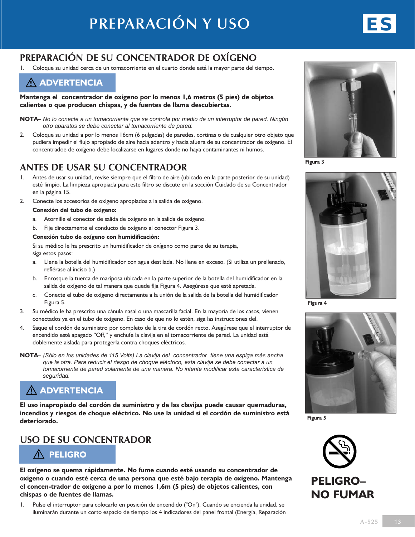## **Preparación de su Concentrador de Oxígeno**

1. Coloque su unidad cerca de un tomacorriente en el cuarto donde está la mayor parte del tiempo.



**Mantenga el concentrador de oxígeno por lo menos 1,6 metros (5 pies) de objetos calientes o que producen chispas, y de fuentes de llama descubiertas.**

- **NOTA–** *No lo conecte a un tomacorriente que se controla por medio de un interruptor de pared. Ningún otro aparatos se debe conectar al tomacorriente de pared.*
- 2. Coloque su unidad a por lo menos 16cm (6 pulgadas) de paredes, cortinas o de cualquier otro objeto que pudiera impedir el flujo apropiado de aire hacia adentro y hacia afuera de su concentrador de oxígeno. El concentradoe de oxígeno debe localizarse en lugares donde no haya contaminantes ni humos.

## **Antes de usar su Concentrador**

- 1. Antes de usar su unidad, revise siempre que el filtro de aire (ubicado en la parte posterior de su unidad) esté limpio. La limpieza apropiada para este filtro se discute en la sección Cuidado de su Concentrador en la página 15.
- 2. Conecte los accesorios de oxígeno apropiados a la salida de oxígeno.

#### **Conexión del tubo de oxígeno:**

- a. Atornille el conector de salida de oxígeno en la salida de oxígeno.
- b. Fije directamente el conducto de oxígeno al conector Figura 3.

#### **Conexión tubo de oxígeno con humidificación:**

 Si su médico le ha prescrito un humidificador de oxígeno como parte de su terapia, siga estos pasos:

- a. Llene la botella del humidificador con agua destilada. No llene en exceso. (Si utiliza un prellenado, refiérase al inciso b.)
- b. Enrosque la tuerca de mariposa ubicada en la parte superior de la botella del humidificador en la salida de oxígeno de tal manera que quede fija Figura 4. Asegúrese que esté apretada.
- c. Conecte el tubo de oxígeno directamente a la unión de la salida de la botella del humidificador Figura 5.
- 3. Su médico le ha prescrito una cánula nasal o una mascarilla facial. En la mayoría de los casos, vienen conectados ya en el tubo de oxígeno. En caso de que no lo estén, siga las instrucciones del.
- 4. Saque el cordón de suministro por completo de la tira de cordón recto. Asegúrese que el interruptor de encendido esté apagado "Off," y enchufe la clavija en el tomacorriente de pared. La unidad está doblemente aislada para protegerla contra choques eléctricos.
- **NOTA–** *(Sólo en los unidades de 115 Volts) La clavija del concentrador tiene una espiga más ancha que la otra. Para reducir el riesgo de choque eléctrico, esta clavija se debe conectar a un tomacorriente de pared solamente de una manera. No intente modificar esta característica de seguridad.*

## **ADVERTENCIA**

**El uso inapropiado del cordón de suministro y de las clavijas puede causar quemaduras, incendios y riesgos de choque eléctrico. No use la unidad si el cordón de suministro está deteriorado.**

#### **Uso de su Concentrador**



**El oxígeno se quema rápidamente. No fume cuando esté usando su concentrador de oxígeno o cuando esté cerca de una persona que esté bajo terapia de oxígeno. Mantenga el concen-trador de oxígeno a por lo menos 1,6m (5 pies) de objetos calientes, con chispas o de fuentes de llamas.**

1. Pulse el interruptor para colocarlo en posición de encendido ("On"). Cuando se encienda la unidad, se iluminarán durante un corto espacio de tiempo los 4 indicadores del panel frontal (Energía, Reparación



**Figura 3**



**Figura 4**



**Figura 5**

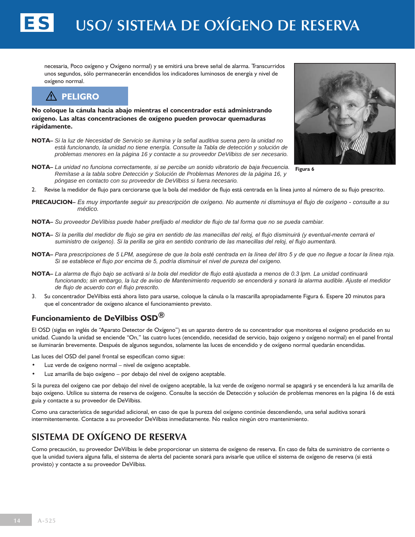necesaria, Poco oxígeno y Oxígeno normal) y se emitirá una breve señal de alarma. Transcurridos unos segundos, sólo permanecerán encendidos los indicadores luminosos de energía y nivel de oxígeno normal.

## **PELIGRO**

ES

**No coloque la cánula hacia abajo mientras el concentrador está administrando oxígeno. Las altas concentraciones de oxígeno pueden provocar quemaduras rápidamente.**

- **NOTA–** *Si la luz de Necesidad de Servicio se ilumina y la señal auditiva suena pero la unidad no está funcionando, la unidad no tiene energía. Consulte la Tabla de detección y solución de problemas menores en la página 16 y contacte a su proveedor DeVilbiss de ser necesario.*
- **NOTA–** *La unidad no funciona correctamente, si se percibe un sonido vibratorio de baja frecuencia. Remítase a la tabla sobre Detección y Solución de Problemas Menores de la página 16, y póngase en contacto con su proveedor de DeVilbiss si fuera necesario.*



**Figura 6**

- 2. Revise la medidor de flujo para cerciorarse que la bola del medidor de flujo está centrada en la línea junto al número de su flujo prescrito.
- **PRECAUCION–** *Es muy importante seguir su prescripción de oxígeno. No aumente ni disminuya el flujo de oxígeno consulte a su médico.*
- **NOTA–** *Su proveedor DeVilbiss puede haber prefijado el medidor de flujo de tal forma que no se pueda cambiar.*
- **NOTA–** *Si la perilla del medidor de flujo se gira en sentido de las manecillas del reloj, el flujo disminuirá (y eventual-mente cerrará el suministro de oxígeno). Si la perilla se gira en sentido contrario de las manecillas del reloj, el flujo aumentará.*
- **NOTA–** *Para prescripciones de 5 LPM, asegúrese de que la bola esté centrada en la línea del litro 5 y de que no llegue a tocar la línea roja. Si se establece el flujo por encima de 5, podría disminuir el nivel de pureza del oxígeno.*
- **NOTA–** *La alarma de flujo bajo se activará si la bola del medidor de flujo está ajustada a menos de 0.3 lpm. La unidad continuará funcionando; sin embargo, la luz de aviso de Mantenimiento requerido se encenderá y sonará la alarma audible. Ajuste el medidor de flujo de acuerdo con el flujo prescrito.*
- 3. Su concentrador DeVilbiss está ahora listo para usarse, coloque la cánula o la mascarilla apropiadamente Figura 6. Espere 20 minutos para que el concentrador de oxígeno alcance el funcionamiento previsto.

#### **Funcionamiento de DeVilbiss OSD®**

El OSD (siglas en inglés de "Aparato Detector de Oxígeno") es un aparato dentro de su concentrador que monitorea el oxígeno producido en su unidad. Cuando la unidad se enciende "On," las cuatro luces (encendido, necesidad de servicio, bajo oxígeno y oxígeno normal) en el panel frontal se iluminarán brevemente. Después de algunos segundos, solamente las luces de encendido y de oxígeno normal quedarán encendidas.

Las luces del OSD del panel frontal se especifican como sigue:

- Luz verde de oxígeno normal nivel de oxígeno aceptable.
- Luz amarilla de bajo oxígeno por debajo del nivel de oxígeno aceptable.

Si la pureza del oxígeno cae por debajo del nivel de oxígeno aceptable, la luz verde de oxígeno normal se apagará y se encenderá la luz amarilla de bajo oxígeno. Utilice su sistema de reserva de oxígeno. Consulte la sección de Detección y solución de problemas menores en la página 16 de está guía y contacte a su proveedor de DeVilbiss.

Como una característica de seguridad adicional, en caso de que la pureza del oxígeno continúe descendiendo, una señal auditiva sonará intermitentemente. Contacte a su proveedor DeVilbiss inmediatamente. No realice ningún otro mantenimiento.

## **Sistema de oxígeno de reserva**

Como precaución, su proveedor DeVilbiss le debe proporcionar un sistema de oxígeno de reserva. En caso de falta de suministro de corriente o que la unidad tuviera alguna falla, el sistema de alerta del paciente sonará para avisarle que utilice el sistema de oxígeno de reserva (si está provisto) y contacte a su proveedor DeVilbiss.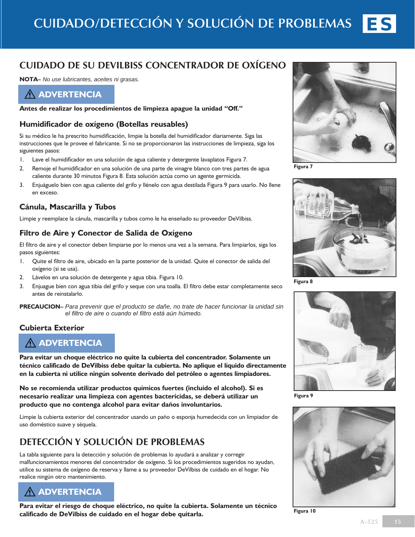

## **Cuidado de su DeVilbiss Concentrador de Oxígeno**

**NOTA–** *No use lubricantes, aceites ni grasas.*

**ADVERTENCIA**

**Antes de realizar los procedimientos de limpieza apague la unidad "Off."**

#### **Humidificador de oxígeno (Botellas reusables)**

Si su médico le ha prescrito humidificación, limpie la botella del humidificador diariamente. Siga las instrucciones que le provee el fabricante. Si no se proporcionaron las instrucciones de limpieza, siga los siguientes pasos:

- 1. Lave el humidificador en una solución de agua caliente y detergente lavaplatos Figura 7.
- 2. Remoje el humidificador en una solución de una parte de vinagre blanco con tres partes de agua caliente durante 30 minutos Figura 8. Esta solución actúa como un agente germicida.
- 3. Enjuáguelo bien con agua caliente del grifo y llénelo con agua destilada Figura 9 para usarlo. No llene en exceso.

#### **Cánula, Mascarilla y Tubos**

Limpie y reemplace la cánula, mascarilla y tubos como le ha enseñado su proveedor DeVilbiss.

#### **Filtro de Aire y Conector de Salida de Oxígeno**

El filtro de aire y el conector deben limpiarse por lo menos una vez a la semana. Para limpiarlos, siga los pasos siguientes:

- 1. Quite el filtro de aire, ubicado en la parte posterior de la unidad. Quite el conector de salida del oxígeno (si se usa).
- 2. Lávelos en una solución de detergente y agua tibia. Figura 10.
- 3. Enjuague bien con agua tibia del grifo y seque con una toalla. El filtro debe estar completamente seco antes de reinstalarlo.

**PRECAUCION–** *Para prevenir que el producto se dañe, no trate de hacer funcionar la unidad sin el filtro de aire o cuando el filtro está aún húmedo.*

#### **Cubierta Exterior**

## **ADVERTENCIA**

**Para evitar un choque eléctrico no quite la cubierta del concentrador. Solamente un técnico calificado de DeVilbiss debe quitar la cubierta. No aplique el líquido directamente en la cubierta ni utilice ningún solvente derivado del petróleo o agentes limpiadores.**

**No se recomienda utilizar productos químicos fuertes (incluido el alcohol). Si es necesario realizar una limpieza con agentes bactericidas, se deberá utilizar un producto que no contenga alcohol para evitar daños involuntarios.**

Limpie la cubierta exterior del concentrador usando un paño o esponja humedecida con un limpiador de uso doméstico suave y séquela.

## **Detección y solución de problemas**

La tabla siguiente para la detección y solución de problemas lo ayudará a analizar y corregir malfuncionamientos menores del concentrador de oxígeno. Si los procedimientos sugeridos no ayudan, utilice su sistema de oxígeno de reserva y llame a su proveedor DeVilbiss de cuidado en el hogar. No realice ningún otro mantenimiento.



**Para evitar el riesgo de choque eléctrico, no quite la cubierta. Solamente un técnico calificado de DeVilbiss de cuidado en el hogar debe quitarla.**



**Figura 7**



**Figura 8**



**Figura 9**



**Figura 10**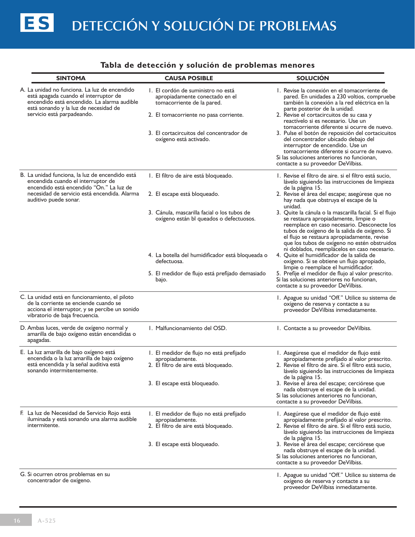#### **Tabla de detección y solución de problemas menores**

| <b>SINTOMA</b>                                                                                                                                                                                               | <b>CAUSA POSIBLE</b>                                                                                | <b>SOLUCIÓN</b>                                                                                                                                                                                                                                                                                                                              |
|--------------------------------------------------------------------------------------------------------------------------------------------------------------------------------------------------------------|-----------------------------------------------------------------------------------------------------|----------------------------------------------------------------------------------------------------------------------------------------------------------------------------------------------------------------------------------------------------------------------------------------------------------------------------------------------|
| A. La unidad no funciona. La luz de encendido<br>está apagada cuando el interruptor de<br>encendido está encendido. La alarma audible<br>está sonando y la luz de necesidad de<br>servicio está parpadeando. | I. El cordón de suministro no está<br>apropiadamente conectado en el<br>tomacorriente de la pared.  | I. Revise la conexión en el tomacorriente de<br>pared. En unidades a 230 voltios, compruebe<br>también la conexión a la red eléctrica en la<br>parte posterior de la unidad.                                                                                                                                                                 |
|                                                                                                                                                                                                              | 2. El tomacorriente no pasa corriente.                                                              | 2. Revise el cortacircuitos de su casa y<br>reactívelo si es necesario. Use un<br>tomacorriente diferente si ocurre de nuevo.                                                                                                                                                                                                                |
|                                                                                                                                                                                                              | 3. El cortacircuitos del concentrador de<br>oxígeno está activado.                                  | 3. Pulse el botón de reposición del cortacicuitos<br>del concentrador ubicado debajo del<br>interruptor de encendido. Use un<br>tomacorriente diferente si ocurre de nuevo.<br>Si las soluciones anteriores no funcionan,<br>contacte a su proveedor DeVilbiss.                                                                              |
| B. La unidad funciona, la luz de encendido está<br>encendida cuando el interruptor de                                                                                                                        | I. El filtro de aire está bloqueado.                                                                | I. Revise el filtro de aire. si el filtro está sucio,<br>lávelo siguiendo las instrucciones de limpieza                                                                                                                                                                                                                                      |
| encendido está encendido "On." La luz de<br>necesidad de servicio está encendida. Alarma<br>auditivo puede sonar.                                                                                            | 2. El escape está bloqueado.                                                                        | de la página 15.<br>2. Revise el área del escape; asegúrese que no<br>hay nada que obstruya el escape de la<br>unidad.                                                                                                                                                                                                                       |
|                                                                                                                                                                                                              | 3. Cánula, mascarilla facial o los tubos de<br>oxígeno están bl queados o defectuosos.              | 3. Quite la cánula o la mascarilla facial. Si el flujo<br>se restaura apropiadamente, limpie o<br>reemplace en caso necesario. Desconecte los<br>tubos de oxígeno de la salida de oxígeno. Si<br>el flujo se restaura apropiadamente, revise<br>que los tubos de oxígeno no estén obstruidos<br>ni doblados, reemplácelos en caso necesario. |
|                                                                                                                                                                                                              | 4. La botella del humidificador está bloqueada o<br>defectuosa.                                     | 4. Quite el humidificador de la salida de<br>oxígeno. Si se obtiene un flujo apropiado,<br>limpie o reemplace el humidificador.                                                                                                                                                                                                              |
|                                                                                                                                                                                                              | 5. El medidor de flujo está prefijado demasiado<br>bajo.                                            | 5. Prefije el medidor de flujo al valor prescrito.<br>Si las soluciones anteriores no funcionan,<br>contacte a su proveedor DeVilbiss.                                                                                                                                                                                                       |
| C. La unidad está en funcionamiento, el piloto<br>de la corriente se enciende cuando se<br>acciona el interruptor, y se percibe un sonido<br>vibratorio de baja frecuencia.                                  |                                                                                                     | I. Apague su unidad "Off." Utilice su sistema de<br>oxígeno de reserva y contacte a su<br>proveedor DeVilbiss inmediatamente.                                                                                                                                                                                                                |
| D. Ambas luces, verde de oxígeno normal y<br>amarilla de bajo oxígeno están encendidas o<br>apagadas.                                                                                                        | I. Malfuncionamiento del OSD.                                                                       | 1. Contacte a su proveedor DeVilbiss.                                                                                                                                                                                                                                                                                                        |
| E. La luz amarilla de bajo oxígeno está<br>encendida o la luz amarilla de bajo oxígeno<br>está encendida y la señal auditiva está<br>sonando intermitentemente.                                              | I. El medidor de flujo no está prefijado<br>apropiadamente.<br>2. El filtro de aire está bloqueado. | I. Asegúrese que el medidor de flujo esté<br>apropiadamente prefijado al valor prescrito.<br>2. Revise el filtro de aire. Si el filtro está sucio,<br>lávelo siguiendo las instrucciones de limpieza                                                                                                                                         |
|                                                                                                                                                                                                              | 3. El escape está bloqueado.                                                                        | de la página 15.<br>3. Revise el área del escape; cerciórese que<br>nada obstruye el escape de la unidad.<br>Si las soluciones anteriores no funcionan,<br>contacte a su proveedor DeVilbiss.                                                                                                                                                |
| F. La luz de Necesidad de Servicio Rojo está<br>iluminada y está sonando una alarma audible<br>intermitente.                                                                                                 | I. El medidor de flujo no está prefijado<br>apropiadamente.<br>2. El filtro de aire está bloqueado. | I. Asegúrese que el medidor de flujo esté<br>apropiadamente prefijado al valor prescrito.<br>2. Revise el filtro de aire. Si el filtro está sucio,<br>lávelo siguiendo las instrucciones de limpieza                                                                                                                                         |
|                                                                                                                                                                                                              | 3. El escape está bloqueado.                                                                        | de la página 15.<br>3. Revise el área del escape; cerciórese que<br>nada obstruye el escape de la unidad.<br>Si las soluciones anteriores no funcionan,<br>contacte a su proveedor DeVilbiss.                                                                                                                                                |
| G. Si ocurren otros problemas en su<br>concentrador de oxígeno.                                                                                                                                              |                                                                                                     | 1. Apague su unidad "Off." Utilice su sistema de<br>oxígeno de reserva y contacte a su<br>proveedor DeVilbiss inmediatamente.                                                                                                                                                                                                                |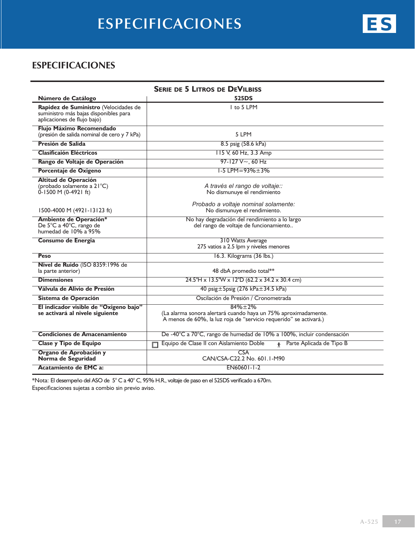## **Especificaciones**

| <b>SERIE DE 5 LITROS DE DEVILBISS</b>                                                                         |                                                                                                                                                   |  |
|---------------------------------------------------------------------------------------------------------------|---------------------------------------------------------------------------------------------------------------------------------------------------|--|
| Número de Catálogo                                                                                            | 525DS                                                                                                                                             |  |
| Rapidez de Suministro (Velocidades de<br>suministro más bajas disponibles para<br>aplicaciones de flujo bajo) | $I$ to 5 LPM                                                                                                                                      |  |
| Flujo Máximo Recomendado<br>(presión de salida nominal de cero y 7 kPa)                                       | 5 LPM                                                                                                                                             |  |
| Presión de Salida                                                                                             | 8.5 psig (58.6 kPa)                                                                                                                               |  |
| <b>Clasificaión Eléctricos</b>                                                                                | 115 V, 60 Hz, 3.3 Amp                                                                                                                             |  |
| Rango de Voltaje de Operación                                                                                 | $97-127$ V $\sim$ , 60 Hz                                                                                                                         |  |
| Porcentaje de Oxigeno                                                                                         | $1-5$ LPM = 93% $\pm$ 3%                                                                                                                          |  |
| <b>Altitud de Operación</b><br>(probado solamente a 21°C)<br>0-1500 M (0-4921 ft)                             | A través el rango de voltaje::<br>No dismunuye el rendimiento                                                                                     |  |
| 1500-4000 M (4921-13123 ft)                                                                                   | Probado a voltaje nominal solamente:<br>No dismunuye el rendimiento.                                                                              |  |
| Ambiente de Operación*<br>De 5°C a 40°C, rango de<br>humedad de 10% a 95%                                     | No hay degradación del rendimiento a lo largo<br>del rango de voltaje de funcionamiento                                                           |  |
| Consumo de Energia                                                                                            | 310 Watts Average<br>275 vatios a 2.5 lpm y niveles menores                                                                                       |  |
| Peso                                                                                                          | 16.3. Kilograms (36 lbs.)                                                                                                                         |  |
| Nivel de Ruido (ISO 8359:1996 de<br>la parte anterior)                                                        | 48 dbA promedio total**                                                                                                                           |  |
| <b>Dimensiones</b>                                                                                            | $24.5$ "H x 13.5"W x 12"D (62.2 x 34.2 x 30.4 cm)                                                                                                 |  |
| Válvula de Alivio de Presión                                                                                  | 40 psig ± 5psig (276 kPa ± 34.5 kPa)                                                                                                              |  |
| Sistema de Operación                                                                                          | Oscilación de Presión / Cronometrada                                                                                                              |  |
| El indicador visible de "Oxigeno bajo"<br>se activará al nivele siguiente                                     | $84% + 2%$<br>(La alarma sonora alertará cuando haya un 75% aproximadamente.<br>A menos de 60%, la luz roja de "servicio requerido" se activará.) |  |
| <b>Condiciones de Amacenamiento</b>                                                                           | De -40°C a 70°C, rango de humedad de 10% a 100%, incluir condensación                                                                             |  |
| Clase y Tipo de Equipo                                                                                        | Equipo de Clase II con Aislamiento Doble<br>Parte Aplicada de Tipo B<br>个                                                                         |  |
| Organo de Aprobación y<br>Norma de Seguridad                                                                  | CSA<br>CAN/CSA-C22.2 No. 601.1-M90                                                                                                                |  |
| Acatamiento de EMC a:                                                                                         | $EN60601 - 1 - 2$                                                                                                                                 |  |

\*Nota: El desempeño del ASO de 5° C a 40° C, 95% H.R., voltaje de paso en el 525DS verificado a 670m. Especificaciones sujetas a combio sin previo aviso.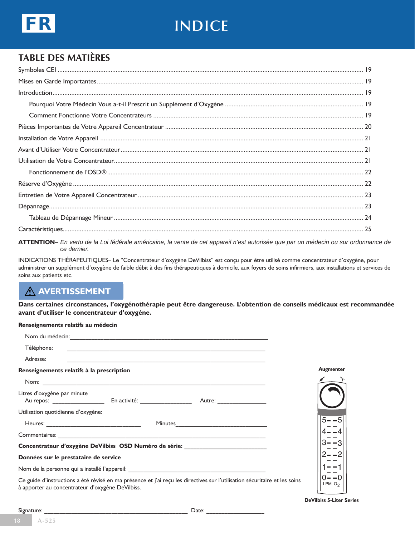

# **indice**

## **Table Des Matières**

**ATTENTION***– En vertu de la Loi fédérale américaine, la vente de cet appareil n'est autorisée que par un médecin ou sur ordonnance de ce dernier.*

INDICATIONS THÉRAPEUTIQUES– Le "Concentrateur d'oxygène DeVilbiss" est conçu pour être utilisé comme concentrateur d'oxygène, pour administrer un supplément d'oxygène de faible débit à des fins thérapeutiques à domicile, aux foyers de soins infirmiers, aux installations et services de soins aux patients etc.

## **avertissement**

**Dans certaines circonstances, l'oxygénothérapie peut être dangereuse. L'obtention de conseils médicaux est recommandée avant d'utiliser le concentrateur d'oxygéne.**

#### **Renseignements relatifs au médecin**

| Téléphone:                                                                                                                                                                     |                                |
|--------------------------------------------------------------------------------------------------------------------------------------------------------------------------------|--------------------------------|
| Adresse:                                                                                                                                                                       |                                |
| Renseignements relatifs à la prescription                                                                                                                                      | <b>Augmenter</b>               |
|                                                                                                                                                                                |                                |
| Litres d'oxygène par minute                                                                                                                                                    |                                |
| Utilisation quotidienne d'oxygène:                                                                                                                                             |                                |
| Minutes                                                                                                                                                                        | $5 - -5$                       |
|                                                                                                                                                                                |                                |
| Concentrateur d'oxygène DeVilbiss  OSD Numéro de série:                                                                                                                        |                                |
| Données sur le prestataire de service                                                                                                                                          |                                |
| Nom de la personne qui a installé l'appareil: en entre la contrattue de la personne de la personne del personne                                                                |                                |
| Ce guide d'instructions a été révisé en ma présence et j'ai reçu les directives sur l'utilisation sécuritaire et les soins<br>à apporter au concentrateur d'oxygène DeVilbiss. | ()— — (1<br>LPM O <sub>2</sub> |

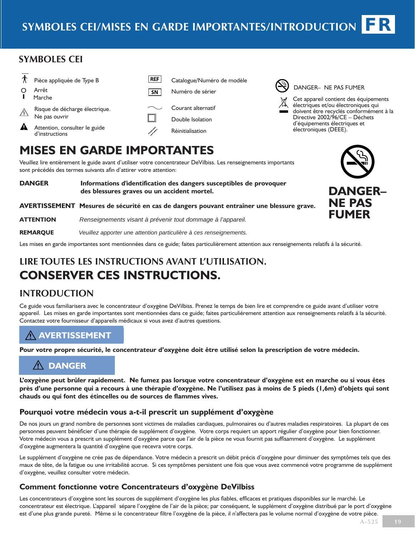#### **SYMBOLeS cei**

| Pièce appliquée de Type B<br>Arrêt<br>Marche                                                       | <b>REF</b><br><b>SN</b> | Catalogue/<br>Numéro de                   |
|----------------------------------------------------------------------------------------------------|-------------------------|-------------------------------------------|
| Risque de décharge électrique.<br>Ne pas ouvrir<br>Attention, consulter le guide<br>d'instructions |                         | Courant al<br>Double Iso<br>Réinitialisat |

#### 'Numéro de modèle e sérier

ternatif dation tion

## DANGER– NE PAS FUMER

Cet appareil contient des équipements électriques et/ou électroniques qui doivent être recyclés conformément à la Directive 2002/96/CE – Déchets d'équipements électriques et électroniques (DEEE).

# **Mises en garde importantes**

Veuillez lire entièrement le guide avant d'utiliser votre concentrateur DeVilbiss. Les renseignements importants sont précédés des termes suivants afin d'attirer votre attention:

**DANGER Informations d'identification des dangers susceptibles de provoquer des blessures graves ou un accident mortel. AVERTISSEMENT Mesures de sécurité en cas de dangers pouvant entraîner une blessure grave.**

**ATTENTION** *Renseignements visant à prévenir tout dommage à l'appareil.*

**REMARQUE** *Veuillez apporter une attention particulière à ces renseignements.*

Les mises en garde importantes sont mentionnées dans ce guide; faites particulièrement attention aux renseignements relatifs á la sécurité.

## **LIRE TOUTES LES INSTRUCTIONS AVANT L'UTILISATION. CONSERVER CES INSTRUCTIONS.**

## **Introduction**

Ce guide vous familiarisera avec le concentrateur d'oxygène DeVilbiss. Prenez le temps de bien lire et comprendre ce guide avant d'utiliser votre appareil. Les mises en garde importantes sont mentionnées dans ce guide; faites particuliérement attention aux renseignements relatifs á la sécurité. Contactez votre fournisseur d'appareils médicaux si vous avez d'autres questions.

## **avertissement**

**Pour votre propre sécurité, le concentrateur d'oxygène doit être utilisé selon la prescription de votre médecin.**

## **DANGER**

**L'oxygène peut brûler rapidement. Ne fumez pas lorsque votre concentrateur d'oxygène est en marche ou si vous êtes près d'une personne qui a recours à une thérapie d'oxygène. Ne l'utilisez pas à moins de 5 pieds (1,6m) d'objets qui sont chauds ou qui font des étincelles ou de sources de flammes vives.**

#### **Pourquoi votre médecin vous a-t-il prescrit un supplément d'oxygène**

De nos jours un grand nombre de personnes sont victimes de maladies cardiaques, pulmonaires ou d'autres maladies respiratoires. La plupart de ces personnes peuvent bénéficier d'une thérapie de supplément d'oxygène. Votre corps requiert un apport régulier d'oxygène pour bien fonctionner. Votre médecin vous a prescrit un supplément d'oxygène parce que l'air de la pièce ne vous fournit pas suffisamment d'oxygène. Le supplément d'oxygène augmentera la quantité d'oxygène que recevra votre corps.

Le supplément d'oxygène ne crée pas de dépendance. Votre médecin a prescrit un débit précis d'oxygène pour diminuer des symptômes tels que des maux de tête, de la fatigue ou une irritabilité accrue. Si ces symptômes persistent une fois que vous avez commencé votre programme de supplément d'oxygène, veuillez consulter votre médecin.

## **Comment fonctionne votre Concentrateurs d'oxygène DeVilbiss**

Les concentrateurs d'oxygène sont les sources de supplément d'oxygène les plus fiables, efficaces et pratiques disponibles sur le marché. Le concentrateur est électrique. L'appareil sépare l'oxygène de l'air de la pièce; par conséquent, le supplément d'oxygène distribué par le port d'oxygène est d'une plus grande pureté. Même si le concentrateur filtre l'oxygène de la pièce, il n'affectera pas le volume normal d'oxygène de votre pièce.

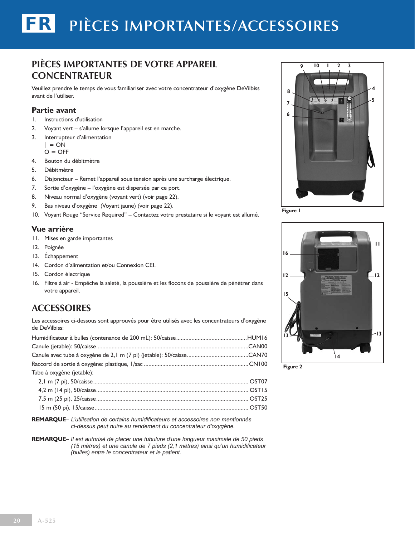## **Pièces importantes de votre appareil Concentrateur**

Veuillez prendre le temps de vous familiariser avec votre concentrateur d'oxygène DeVilbiss avant de l'utiliser.

#### **Partie avant**

- 1. Instructions d'utilisation
- 2. Voyant vert s'allume lorsque l'appareil est en marche.
- 3. Interrupteur d'alimentation

 $\vert$  = ON  $O = OFF$ 

- 4. Bouton du débitmètre
- 5. Débitmètre
- 6. Disjoncteur Remet l'appareil sous tension après une surcharge électrique.
- 7. Sortie d'oxygène l'oxygène est dispersée par ce port.
- 8. Niveau normal d'oxygène (voyant vert) (voir page 22).
- 9. Bas niveau d'oxygène (Voyant jaune) (voir page 22).
- 10. Voyant Rouge "Service Required" Contactez votre prestataire si le voyant est allumé.

#### **Vue arrière**

- 11. Mises en garde importantes
- 12. Poignée
- 13. Échappement
- 14. Cordon d'alimentation et/ou Connexion CEI.
- 15. Cordon électrique
- 16. Filtre à air Empêche la saleté, la poussière et les flocons de poussière de pénétrer dans votre appareil.

#### **Accessoires**

Les accessoires ci-dessous sont approuvés pour être utilisés avec les concentrateurs d'oxygène de DeVilbiss:

| Tube à oxygène (jetable): |  |
|---------------------------|--|
|                           |  |
|                           |  |
|                           |  |
|                           |  |

**Remarque–** *L'utilisation de certains humidificateurs et accessoires non mentionnés ci-dessus peut nuire au rendement du concentrateur d'oxygène.*

**Remarque–** *Il est autorisé de placer une tubulure d'une longueur maximale de 50 pieds (15 mètres) et une canule de 7 pieds (2,1 mètres) ainsi qu'un humidificateur (bulles) entre le concentrateur et le patient.*



**Figure 1**



**Figure 2**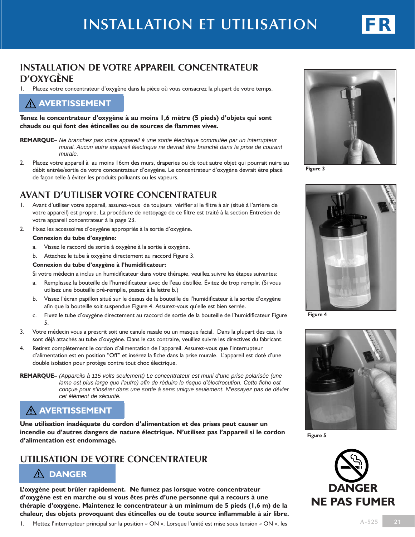

#### **Installation de votre appareil Concentrateur d'oxygène**

1. Placez votre concentrateur d'oxygène dans la pièce où vous consacrez la plupart de votre temps.

#### **avertissement**

**Tenez le concentrateur d'oxygène à au moins 1,6 mètre (5 pieds) d'objets qui sont chauds ou qui font des étincelles ou de sources de flammes vives.**

- **Remarque–** *Ne branchez pas votre appareil à une sortie électrique commutée par un interrupteur mural. Aucun autre appareil électrique ne devrait être branché dans la prise de courant murale.*
- 2. Placez votre appareil à au moins 16cm des murs, draperies ou de tout autre objet qui pourrait nuire au débit entrée/sortie de votre concentrateur d'oxygène. Le concentrateur d'oxygène devrait être placé de façon telle à éviter les produits polluants ou les vapeurs.

#### **Avant d'utiliser votre concentrateur**

- 1. Avant d'utiliser votre appareil, assurez-vous de toujours vérifier si le filtre à air (situé à l'arrière de votre appareil) est propre. La procédure de nettoyage de ce filtre est traité à la section Entretien de votre appareil concentrateur à la page 23.
- 2. Fixez les accessoires d'oxygène appropriés à la sortie d'oxygène.

#### **Connexion du tube d'oxygène:**

- a. Vissez le raccord de sortie à oxygène à la sortie à oxygène.
- b. Attachez le tube à oxygène directement au raccord Figure 3.

#### **Connexion du tube d'oxygène à l'humidificateur:**

Si votre médecin a inclus un humidificateur dans votre thérapie, veuillez suivre les étapes suivantes:

- a. Remplissez la bouteille de l'humidificateur avec de l'eau distillée. Évitez de trop remplir. (Si vous utilisez une bouteille pré-remplie, passez à la lettre b.)
- b. Vissez l'écran papillon situé sur le dessus de la bouteille de l'humidificateur à la sortie d'oxygène afin que la bouteille soit suspendue Figure 4. Assurez-vous qu'elle est bien serrée.
- c. Fixez le tube d'oxygène directement au raccord de sortie de la bouteille de l'humidificateur Figure 5.
- 3. Votre médecin vous a prescrit soit une canule nasale ou un masque facial. Dans la plupart des cas, ils sont déjà attachés au tube d'oxygène. Dans le cas contraire, veuillez suivre les directives du fabricant.
- 4. Retirez complètement le cordon d'alimentation de l'appareil. Assurez-vous que l'interrupteur d'alimentation est en position "Off" et insérez la fiche dans la prise murale. L'appareil est doté d'une double isolation pour protège contre tout choc électrique.
- **remarque–** *(Appareils à 115 volts seulement) Le concentrateur est muni d'une prise polarisée (une lame est plus large que l'autre) afin de réduire le risque d'électrocution. Cette fiche est conçue pour s'insérer dans une sortie à sens unique seulement. N'essayez pas de dévier cet élément de sécurité.*

#### **avertissement**

**Une utilisation inadéquate du cordon d'alimentation et des prises peut causer un incendie ou d'autres dangers de nature électrique. N'utilisez pas l'appareil si le cordon d'alimentation est endommagé.**

#### **Utilisation de votre Concentrateur**

#### **DANGER**

**L'oxygène peut brûler rapidement. Ne fumez pas lorsque votre concentrateur d'oxygène est en marche ou si vous êtes près d'une personne qui a recours à une thérapie d'oxygène. Maintenez le concentrateur à un minimum de 5 pieds (1,6 m) de la chaleur, des objets provoquant des étincelles ou de toute source inflammable à air libre.**





**Figure 3**



**Figure 4**



**Figure 5**

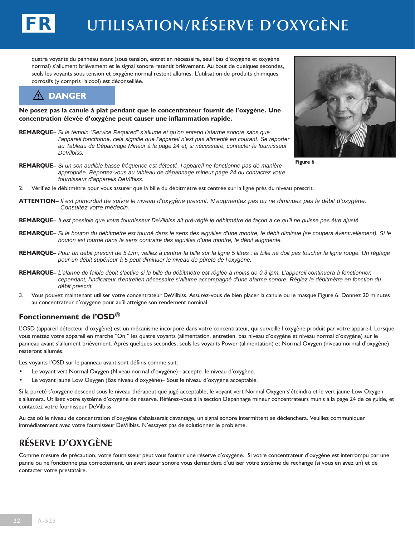# **Utilisation/Réserve d'oxygène**

quatre voyants du panneau avant (sous tension, entretien nécessaire, seuil bas d'oxygène et oxygène normal) s'allument brièvement et le signal sonore retentit brièvement. Au bout de quelques secondes, seuls les voyants sous tension et oxygène normal restent allumés. L'utilisation de produits chimiques corrosifs (y compris l'alcool) est déconseillée.

## **DANGER**

FR

**Ne posez pas la canule à plat pendant que le concentrateur fournit de l'oxygène. Une concentration élevée d'oxygène peut causer une inflammation rapide.**

- **Remarque–** *Si le témoin "Service Required" s'allume et qu'on entend l'alarme sonore sans que*  l'appareil fonctionne, cela signifie que l'appareil n'est pas alimenté en courant. Se reporter *au Tableau de Dépannage Mineur à la page 24 et, si nécessaire, contacter le fournisseur DeVilbiss.*
- **Remarque–** *Si un son audible basse fréquence est détecté, l'appareil ne fonctionne pas de manière appropriée. Reportez-vous au tableau de dépannage mineur page 24 ou contactez votre fournisseur d'appareils DeVilbiss.*
- 2. Vérifiez le débitmètre pour vous assurer que la bille du débitmètre est centrée sur la ligne près du niveau prescrit.
- **ATTENTION–** *Il est primordial de suivre le niveau d'oxygène prescrit. N'augmentez pas ou ne diminuez pas le débit d'oxygène. Consultez votre médecin.*
- **REMARQUE–** *Il est possible que votre fournisseur DeVilbiss ait pré-réglé le débitmètre de façon à ce qu'il ne puisse pas être ajusté.*
- **REMARQUE–** *Si le bouton du débitmètre est tourné dans le sens des aiguilles d'une montre, le débit diminue (se coupera éventuellement). Si le bouton est tourné dans le sens contraire des aiguilles d'une montre, le débit augmente.*
- **REMARQUE–** *Pour un débit prescrit de 5 L/m, veillez à centrer la bille sur la ligne 5 litres ; la bille ne doit pas toucher la ligne rouge. Un réglage pour un débit supérieur à 5 peut diminuer le niveau de pûreté de l'oxygène.*
- **REMARQUE–** *L'alarme de faible débit s'active si la bille du débitmètre est réglée à moins de 0,3 lpm. L'appareil continuera à fonctionner, cependant, l'indicateur d'entretien nécessaire s'allume accompagné d'une alarme sonore. Réglez le débitmètre en fonction du débit prescrit.*
- 3. Vous pouvez maintenant utiliser votre concentrateur DeVilbiss. Assurez-vous de bien placer la canule ou le masque Figure 6. Donnez 20 minutes au concentrateur d'oxygène pour au'il atteigne son rendement nominal.

#### **Fonctionnement de l'OSD®**

L'OSD (appareil détecteur d'oxygène) est un mécanisme incorporé dans votre concentrateur, qui surveille l'oxygène produit par votre appareil. Lorsque vous mettez votre appareil en marche "On," les quatre voyants (alimentation, entretien, bas niveau d'oxygène et niveau normal d'oxygène) sur le panneau avant s'allument brièvement. Après quelques secondes, seuls les voyants Power (alimentation) et Normal Oxygen (niveau normal d'oxygène) resteront allumés.

Les voyants l'OSD sur le panneau avant sont définis comme suit:

- Le voyant vert Normal Oxygen (Niveau normal d'oxygène)– accepte le niveau d'oxygène.
- Le voyant jaune Low Oxygen (Bas niveau d'oxygène)– Sous le niveau d'oxygène acceptable.

Si la pureté s'oxygène descend sous le niveau thérapeutique jugé acceptable, le voyant vert Normal Oxygen s'éteindra et le vert jaune Low Oxygen s'allumera. Utilisez votre système d'oxygène de réserve. Référez-vous à la section Dépannage mineur concentrateurs munis à la page 24 de ce guide, et contactez votre fournisseur DeVilbiss.

Au cas où le niveau de concentration d'oxygène s'abaisserait davantage, un signal sonore intermittent se déclenchera. Veuillez communiquer immédiatement avec votre fournisseur DeVilbiss. N'essayez pas de solutionner le problème.

## **Réserve d'oxygène**

Comme mesure de précaution, votre fournisseur peut vous fournir une réserve d'oxygène. Si votre concentrateur d'oxygène est interrompu par une panne ou ne fonctionne pas correctement, un avertisseur sonore vous demandera d'utiliser votre système de rechange (si vous en avez un) et de contacter votre prestataire.



**Figure 6**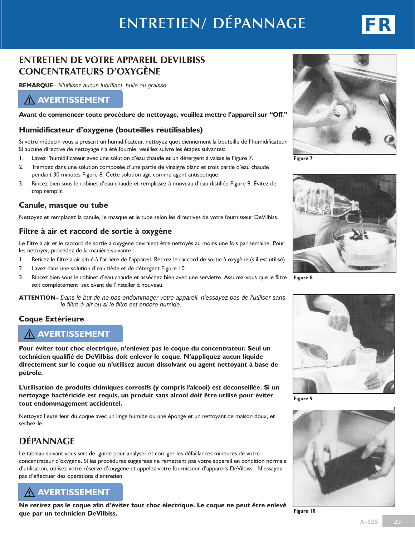# **Entretien/ Dépannage**



**REMARQUE–** *N'utilisez aucun lubrifiant, huile ou graisse.*

#### **avertissement**

**Avant de commencer toute procédure de nettoyage, veuillez mettre l'appareil sur "Off."**

#### **Humidificateur d'oxygène (bouteilles réutilisables)**

Si votre médecin vous a prescrit un humidificateur, nettoyez quotidiennement la bouteille de l'humidificateur. Si aucune directive de nettoyage n'a été fournie, veuillez suivre les étapes suivantes:

- 1. Lavez l'humidificateur avec une solution d'eau chaude et un détergent à vaisselle Figure 7.
- 2. Trempez dans une solution composée d'une partie de vinaigre blanc et trois partie d'eau chaude pendant 30 minutes Figure 8. Cette solution agit comme agent antiseptique.
- 3. Rincez bien sous le robinet d'eau chaude et remplissez à nouveau d'eau distillée Figure 9. Évitez de trop remplir.

#### **Canule, masque ou tube**

Nettoyez et remplacez la canule, le masque et le tube selon les directives de votre fournisseur DeVilbiss.

#### **Filtre à air et raccord de sortie à oxygène**

Le filtre à air et le raccord de sortie à oxygène devraient être nettoyés au moins une fois par semaine. Pour les nettoyer, procédez de la manière suivante :

- 1. Retirez le filtre à air situé à l'arrière de l'appareil. Retirez le raccord de sortie à oxygène (s'il est utilisé).
- 2. Lavez dans une solution d'eau tiède et de détergent Figure 10.
- 3. Rincez bien sous le robinet d'eau chaude et asséchez bien avec une serviette. Assurez-vous que le filtre soit complètement sec avant de l'installer à nouveau.
- **ATTENTION–** *Dans le but de ne pas endommager votre appareil, n'essayez pas de l'utiliser sans le filtre à air ou si le filtre est encore humide.*

#### **Coque Extérieure**

#### **avertissement**

**Pour éviter tout choc électrique, n'enlevez pas le coque du concentrateur. Seul un technicien qualifié de DeVilbiss doit enlever le coque. N'appliquez aucun liquide directement sur le coque ou n'utilisez aucun dissolvant ou agent nettoyant à base de pétrole.** 

**L'utilisation de produits chimiques corrosifs (y compris l'alcool) est déconseillée. Si un nettoyage bactéricide est requis, un produit sans alcool doit être utilisé pour éviter tout endommagement accidentel.**

Nettoyez l'extérieur du coque avec un linge humide ou une éponge et un nettoyant de maison doux, et séchez-le.

## **Dépannage**

Le tableau suivant vous sert de guide pour analyser et corriger les défaillances mineures de votre concentrateur d'oxygène. Si les procédures suggérées ne remettent pas votre appareil en condition normale d'utilisation, utilisez votre réserve d'oxygène et appelez votre fournisseur d'appareils DeVilbiss. N'essayez pas d'effectuer des opérations d'entretien.

## **avertissement**

**Ne retirez pas le coque afin d'éviter tout choc électrique. Le coque ne peut être enlevé que par un technicien DeVilbiss.**



**Figure 7**



**Figure 8**



**Figure 9**







**Figure 10**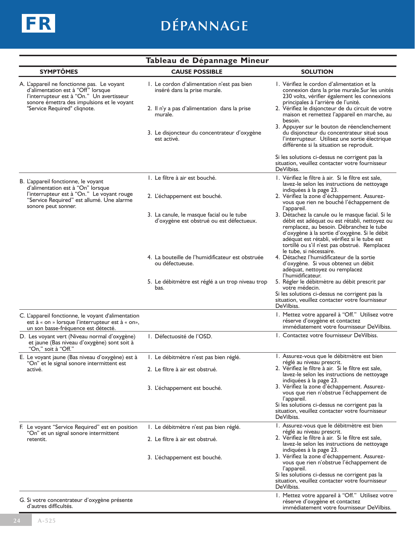

# **Dépannage**

| Tableau de Dépannage Mineur                                                                                                                                                                                 |                                                                                       |                                                                                                                                                                                                                                                                                                                                          |  |  |
|-------------------------------------------------------------------------------------------------------------------------------------------------------------------------------------------------------------|---------------------------------------------------------------------------------------|------------------------------------------------------------------------------------------------------------------------------------------------------------------------------------------------------------------------------------------------------------------------------------------------------------------------------------------|--|--|
| <b>SYMPTÔMES</b>                                                                                                                                                                                            | <b>CAUSE POSSIBLE</b>                                                                 | <b>SOLUTION</b>                                                                                                                                                                                                                                                                                                                          |  |  |
| A. L'appareil ne fonctionne pas. Le voyant<br>d'alimentation est à "Off" lorsque<br>l'interrupteur est à "On." Un avertisseur<br>sonore émettra des impulsions et le voyant<br>"Service Required" cliqnote. | I. Le cordon d'alimentation n'est pas bien<br>inséré dans la prise murale.            | I. Vérifiez le cordon d'alimentation et la<br>connexion dans la prise murale. Sur les unités<br>230 volts, vérifier également les connexions                                                                                                                                                                                             |  |  |
|                                                                                                                                                                                                             | 2. Il n'y a pas d'alimentation dans la prise<br>murale.                               | principales à l'arrière de l'unité.<br>2. Vérifiez le disjoncteur de du circuit de votre<br>maison et remettez l'appareil en marche, au<br>besoin.                                                                                                                                                                                       |  |  |
|                                                                                                                                                                                                             | 3. Le disjoncteur du concentrateur d'oxygène<br>est activé.                           | 3. Appuyer sur le bouton de réenclenchement<br>du disjoncteur du concentrateur situé sous<br>l'interrupteur. Utilisez une sortie électrique<br>différente si la situation se reproduit.                                                                                                                                                  |  |  |
|                                                                                                                                                                                                             |                                                                                       | Si les solutions ci-dessus ne corrigent pas la<br>situation, veuillez contacter votre fournisseur<br>DeVilbiss.                                                                                                                                                                                                                          |  |  |
| B. L'appareil fonctionne, le voyant<br>d'alimentation est à "On" lorsque                                                                                                                                    | I. Le filtre à air est bouché.                                                        | I. Vérifiez le filtre à air. Si le filtre est sale,<br>lavez-le selon les instructions de nettoyage                                                                                                                                                                                                                                      |  |  |
| l'interrupteur est à "On." Le voyant rouge<br>"Service Required" est allumé. Une alarme<br>sonore peut sonner.                                                                                              | 2. L'échappement est bouché.                                                          | indiquées à la page 23.<br>2. Vérifiez la zone d'échappement. Assurez-<br>vous que rien ne bouché l'échappement de                                                                                                                                                                                                                       |  |  |
|                                                                                                                                                                                                             | 3. La canule, le masque facial ou le tube<br>d'oxygène est obstrué ou est défectueux. | l'appareil.<br>3. Détachez la canule ou le masque facial. Si le<br>débit est adéquat ou est rétabli, nettoyez ou<br>remplacez, au besoin. Débranchez le tube<br>d'oxygène à la sortie d'oxygène. Si le débit<br>adéquat est rétabli, vérifiez si le tube est<br>tortillé ou s'il n'est pas obstrué. Remplacez<br>le tube, si nécessaire. |  |  |
|                                                                                                                                                                                                             | 4. La bouteille de l'humidificateur est obstruée<br>ou défectueuse.                   | 4. Détachez l'humidificateur de la sortie<br>d'oxygène. Si vous obtenez un débit<br>adéquat, nettoyez ou remplacez<br>l'humidificateur.                                                                                                                                                                                                  |  |  |
|                                                                                                                                                                                                             | 5. Le débitmètre est réglé a un trop niveau trop<br>bas.                              | 5. Régler le débitmètre au débit prescrit par<br>votre médecin.<br>Si les solutions ci-dessus ne corrigent pas la<br>situation, veuillez contacter votre fournisseur<br>DeVilbiss.                                                                                                                                                       |  |  |
| C. L'appareil fonctionne, le voyant d'alimentation<br>est à « on » lorsque l'interrupteur est à « on»,<br>un son basse-fréquence est détecté.                                                               |                                                                                       | I. Mettez votre appareil à "Off." Utilisez votre<br>réserve d'oxygène et contactez<br>immédiatement votre fournisseur DeVilbiss.                                                                                                                                                                                                         |  |  |
| D. Les voyant vert (Niveau normal d'oxygène)<br>et jaune (Bas niveau d'oxygène) sont soit à<br>"On," soit à "Off."                                                                                          | 1. Défectuosité de l'OSD.                                                             | 1. Contactez votre fournisseur DeVilbiss.                                                                                                                                                                                                                                                                                                |  |  |
| E. Le voyant jaune (Bas niveau d'oxygène) est à                                                                                                                                                             | I. Le débitmètre n'est pas bien réglé                                                 | I. Assurez-vous que le débitmètre est bien<br>réglé au niveau prescrit.                                                                                                                                                                                                                                                                  |  |  |
| "On" et le signal sonore intermittent est<br>activé.                                                                                                                                                        | 2. Le filtre à air est obstrué.                                                       | 2. Vérifiez le filtre à air. Si le filtre est sale,<br>lavez-le selon les instructions de nettoyage<br>indiquées à la page 23.                                                                                                                                                                                                           |  |  |
|                                                                                                                                                                                                             | 3. L'échappement est bouché.                                                          | 3. Vérifiez la zone d'échappement. Assurez-<br>vous que rien n'obstrue l'échappement de<br>l'appareil.                                                                                                                                                                                                                                   |  |  |
|                                                                                                                                                                                                             |                                                                                       | Si les solutions ci-dessus ne corrigent pas la<br>situation, veuillez contacter votre fournisseur<br>DeVilbiss.                                                                                                                                                                                                                          |  |  |
| F. Le voyant "Service Required" est en position<br>"On" et un signal sonore intermittent                                                                                                                    | 1. Le débitmètre n'est pas bien réglé.                                                | I. Assurez-vous que le débitmètre est bien<br>réglé au niveau prescrit.                                                                                                                                                                                                                                                                  |  |  |
| retentit.                                                                                                                                                                                                   | 2. Le filtre à air est obstrué.                                                       | 2. Vérifiez le filtre à air. Si le filtre est sale,<br>lavez-le selon les instructions de nettoyage<br>indiquées à la page 23.                                                                                                                                                                                                           |  |  |
|                                                                                                                                                                                                             | 3. L'échappement est bouché.                                                          | 3. Vérifiez la zone d'échappement. Assurez-<br>vous que rien n'obstrue l'échappement de<br>l'appareil.<br>Si les solutions ci-dessus ne corrigent pas la<br>situation, veuillez contacter votre fournisseur<br>DeVilbiss.                                                                                                                |  |  |
| G. Si votre concentrateur d'oxygène présente<br>d'autres difficultés.                                                                                                                                       |                                                                                       | I. Mettez votre appareil à "Off." Utilisez votre<br>réserve d'oxygène et contactez<br>immédiatement votre fournisseur DeVilbiss.                                                                                                                                                                                                         |  |  |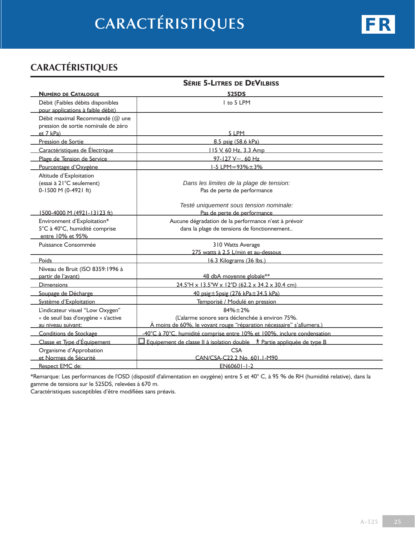# **Caractéristiques**

## **Caractéristiques**

|                                                                                               | <b>SÉRIE 5-LITRES DE DEVILBISS</b>                                                                                                    |
|-----------------------------------------------------------------------------------------------|---------------------------------------------------------------------------------------------------------------------------------------|
| <b>NUMÉRO DE CATALOGUE</b>                                                                    | <b>525DS</b>                                                                                                                          |
| Débit (Faibles débits disponibles<br>pour applications à faible débit)                        | I to 5 LPM                                                                                                                            |
| Débit maximal Recommandé (@ une<br>pression de sortie nominale de zéro<br>et 7 kPa)           | 5 LPM                                                                                                                                 |
| Pression de Sortie                                                                            | 8.5 psig (58.6 kPa)                                                                                                                   |
| Caractéristiques de Électrique                                                                | 115 V. 60 Hz, 3.3 Amp                                                                                                                 |
| Plage de Tension de Service                                                                   | $97 - 127$ V ~ 60 Hz                                                                                                                  |
| Pourcentage d'Oxygène                                                                         | $1-5$ LPM=93% $\pm$ 3%                                                                                                                |
| Altitude d'Exploitation<br>(essai à 21°C seulement)<br>0-1500 M (0-4921 ft)                   | Dans les limites de la plage de tension:<br>Pas de perte de performance                                                               |
| 1500-4000 M (4921-13123 ft)                                                                   | Testé uniquement sous tension nominale:<br>Pas de perte de performance                                                                |
| Environment d'Exploitation*<br>5°C à 40°C, humidité comprise<br>entre 10% et 95%              | Aucune dégradation de la performance n'est à prévoir<br>dans la plage de tensions de fonctionnement                                   |
| Puissance Consommée                                                                           | 310 Watts Average                                                                                                                     |
|                                                                                               | 275 watts à 2.5 L/min et au-dessous                                                                                                   |
| Poids                                                                                         | 16.3 Kilograms (36 lbs.)                                                                                                              |
| Niveau de Bruit (ISO 8359:1996 à<br>partir de l'avant)                                        | 48 dbA moyenne globale**                                                                                                              |
| <b>Dimensions</b>                                                                             | 24.5"H x 13.5"W x 12"D (62.2 x 34.2 x 30.4 cm)                                                                                        |
| Soupage de Décharge                                                                           | 40 psig ± 5 psig (276 kPa ± 34.5 kPa)                                                                                                 |
| Système d'Exploitation                                                                        | Temporisé / Modulé en pression                                                                                                        |
| L'indicateur visuel "Low Oxygen"<br>« de seuil bas d'oxygène » s'active<br>au niveau suivant: | $84% + 2%$<br>(L'alarme sonore sera déclenchée à environ 75%.<br>À moins de 60%, le voyant rouge "réparation nécessaire" s'allumera.) |
| Conditions de Stockage                                                                        | -40°C à 70°C, humidité comprise entre 10% et 100%, inclure condensation                                                               |
| Classe et Type d'Équipement                                                                   | Equipement de classe II à isolation double $\Lambda$ Partie appliquée de type B                                                       |
| Organisme d'Approbation                                                                       | <b>CSA</b>                                                                                                                            |
| et Normes de Sécurité                                                                         | CAN/CSA-C22.2 No. 601.1-M90                                                                                                           |
| Respect EMC de:                                                                               | EN60601-1-2                                                                                                                           |

\*Remarque: Les performances de l'OSD (dispositif d'alimentation en oxygène) entre 5 et 40° C, à 95 % de RH (humidité relative), dans la gamme de tensions sur le 525DS, relevées à 670 m.

Caractéristiques susceptibles d'être modifiées sans préavis.